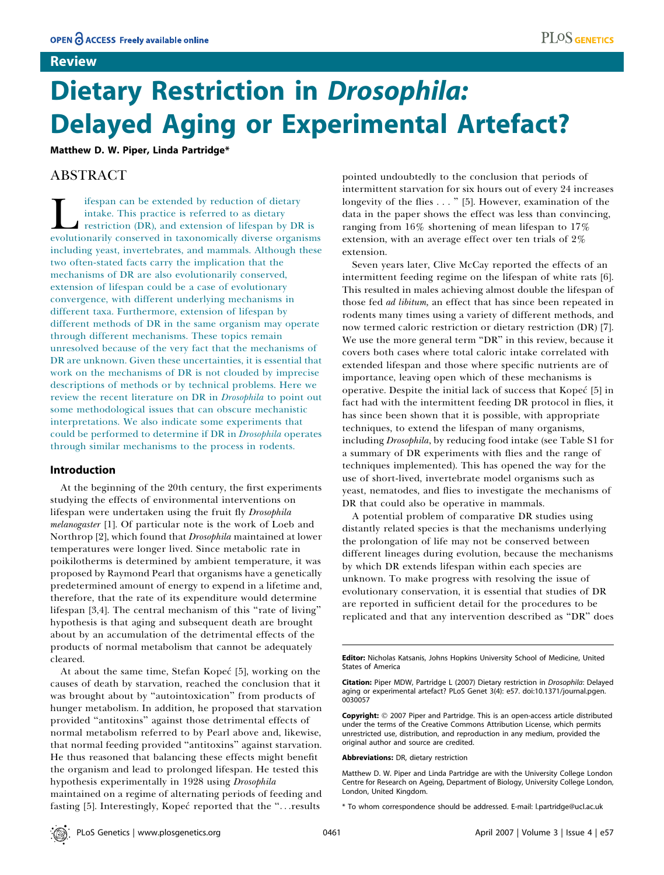### Review

# Dietary Restriction in Drosophila: Delayed Aging or Experimental Artefact?

Matthew D. W. Piper, Linda Partridge\*

## ABSTRACT

Ifespan can be extended by reduction of dietary<br>intake. This practice is referred to as dietary<br>restriction (DR), and extension of lifespan by Dl<br>evolutionarily conserved in taxonomically diverse organ intake. This practice is referred to as dietary restriction (DR), and extension of lifespan by DR is evolutionarily conserved in taxonomically diverse organisms including yeast, invertebrates, and mammals. Although these two often-stated facts carry the implication that the mechanisms of DR are also evolutionarily conserved, extension of lifespan could be a case of evolutionary convergence, with different underlying mechanisms in different taxa. Furthermore, extension of lifespan by different methods of DR in the same organism may operate through different mechanisms. These topics remain unresolved because of the very fact that the mechanisms of DR are unknown. Given these uncertainties, it is essential that work on the mechanisms of DR is not clouded by imprecise descriptions of methods or by technical problems. Here we review the recent literature on DR in Drosophila to point out some methodological issues that can obscure mechanistic interpretations. We also indicate some experiments that could be performed to determine if DR in Drosophila operates through similar mechanisms to the process in rodents.

#### Introduction

At the beginning of the 20th century, the first experiments studying the effects of environmental interventions on lifespan were undertaken using the fruit fly Drosophila melanogaster [1]. Of particular note is the work of Loeb and Northrop [2], which found that Drosophila maintained at lower temperatures were longer lived. Since metabolic rate in poikilotherms is determined by ambient temperature, it was proposed by Raymond Pearl that organisms have a genetically predetermined amount of energy to expend in a lifetime and, therefore, that the rate of its expenditure would determine lifespan [3,4]. The central mechanism of this "rate of living" hypothesis is that aging and subsequent death are brought about by an accumulation of the detrimental effects of the products of normal metabolism that cannot be adequately cleared.

At about the same time, Stefan Kopeć [5], working on the causes of death by starvation, reached the conclusion that it was brought about by "autointoxication" from products of hunger metabolism. In addition, he proposed that starvation provided ''antitoxins'' against those detrimental effects of normal metabolism referred to by Pearl above and, likewise, that normal feeding provided ''antitoxins'' against starvation. He thus reasoned that balancing these effects might benefit the organism and lead to prolonged lifespan. He tested this hypothesis experimentally in 1928 using Drosophila maintained on a regime of alternating periods of feeding and fasting [5]. Interestingly, Kopeć reported that the "...results

pointed undoubtedly to the conclusion that periods of intermittent starvation for six hours out of every 24 increases longevity of the flies . . . '' [5]. However, examination of the data in the paper shows the effect was less than convincing, ranging from 16% shortening of mean lifespan to 17% extension, with an average effect over ten trials of 2% extension.

Seven years later, Clive McCay reported the effects of an intermittent feeding regime on the lifespan of white rats [6]. This resulted in males achieving almost double the lifespan of those fed ad libitum, an effect that has since been repeated in rodents many times using a variety of different methods, and now termed caloric restriction or dietary restriction (DR) [7]. We use the more general term "DR" in this review, because it covers both cases where total caloric intake correlated with extended lifespan and those where specific nutrients are of importance, leaving open which of these mechanisms is operative. Despite the initial lack of success that Kopeć [5] in fact had with the intermittent feeding DR protocol in flies, it has since been shown that it is possible, with appropriate techniques, to extend the lifespan of many organisms, including Drosophila, by reducing food intake (see Table S1 for a summary of DR experiments with flies and the range of techniques implemented). This has opened the way for the use of short-lived, invertebrate model organisms such as yeast, nematodes, and flies to investigate the mechanisms of DR that could also be operative in mammals.

A potential problem of comparative DR studies using distantly related species is that the mechanisms underlying the prolongation of life may not be conserved between different lineages during evolution, because the mechanisms by which DR extends lifespan within each species are unknown. To make progress with resolving the issue of evolutionary conservation, it is essential that studies of DR are reported in sufficient detail for the procedures to be replicated and that any intervention described as ''DR'' does

Copyright: © 2007 Piper and Partridge. This is an open-access article distributed under the terms of the Creative Commons Attribution License, which permits unrestricted use, distribution, and reproduction in any medium, provided the original author and source are credited.

Abbreviations: DR, dietary restriction

Editor: Nicholas Katsanis, Johns Hopkins University School of Medicine, United States of America

Citation: Piper MDW, Partridge L (2007) Dietary restriction in Drosophila: Delayed aging or experimental artefact? PLoS Genet 3(4): e57. doi:10.1371/journal.pgen. 0030057

Matthew D. W. Piper and Linda Partridge are with the University College London Centre for Research on Ageing, Department of Biology, University College London, London, United Kingdom.

<sup>\*</sup> To whom correspondence should be addressed. E-mail: l.partridge@ucl.ac.uk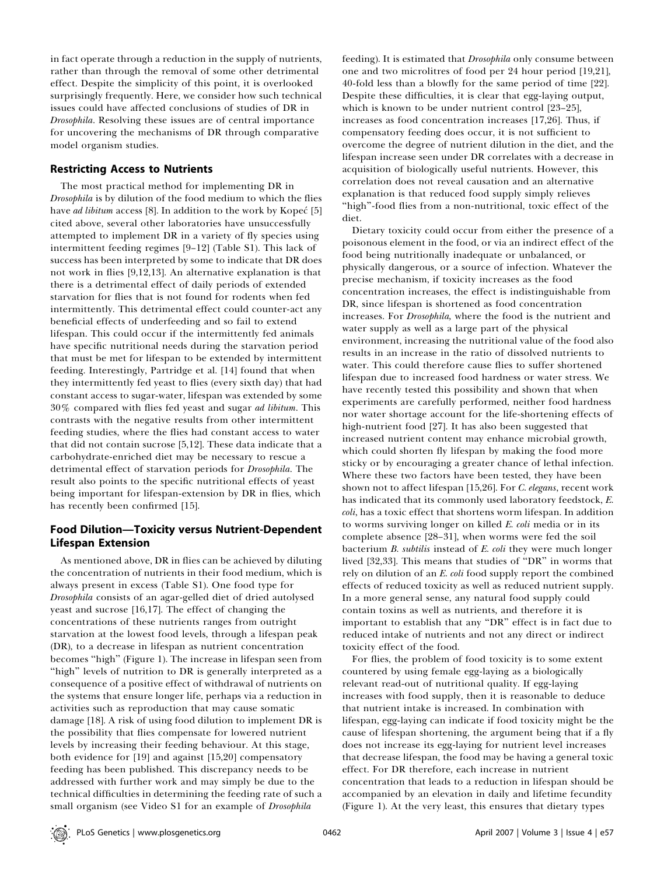in fact operate through a reduction in the supply of nutrients, rather than through the removal of some other detrimental effect. Despite the simplicity of this point, it is overlooked surprisingly frequently. Here, we consider how such technical issues could have affected conclusions of studies of DR in Drosophila. Resolving these issues are of central importance for uncovering the mechanisms of DR through comparative model organism studies.

#### Restricting Access to Nutrients

The most practical method for implementing DR in Drosophila is by dilution of the food medium to which the flies have ad libitum access [8]. In addition to the work by Kopeć [5] cited above, several other laboratories have unsuccessfully attempted to implement DR in a variety of fly species using intermittent feeding regimes [9–12] (Table S1). This lack of success has been interpreted by some to indicate that DR does not work in flies [9,12,13]. An alternative explanation is that there is a detrimental effect of daily periods of extended starvation for flies that is not found for rodents when fed intermittently. This detrimental effect could counter-act any beneficial effects of underfeeding and so fail to extend lifespan. This could occur if the intermittently fed animals have specific nutritional needs during the starvation period that must be met for lifespan to be extended by intermittent feeding. Interestingly, Partridge et al. [14] found that when they intermittently fed yeast to flies (every sixth day) that had constant access to sugar-water, lifespan was extended by some 30% compared with flies fed yeast and sugar ad libitum. This contrasts with the negative results from other intermittent feeding studies, where the flies had constant access to water that did not contain sucrose [5,12]. These data indicate that a carbohydrate-enriched diet may be necessary to rescue a detrimental effect of starvation periods for Drosophila. The result also points to the specific nutritional effects of yeast being important for lifespan-extension by DR in flies, which has recently been confirmed [15].

### Food Dilution—Toxicity versus Nutrient-Dependent Lifespan Extension

As mentioned above, DR in flies can be achieved by diluting the concentration of nutrients in their food medium, which is always present in excess (Table S1). One food type for Drosophila consists of an agar-gelled diet of dried autolysed yeast and sucrose [16,17]. The effect of changing the concentrations of these nutrients ranges from outright starvation at the lowest food levels, through a lifespan peak (DR), to a decrease in lifespan as nutrient concentration becomes ''high'' (Figure 1). The increase in lifespan seen from "high" levels of nutrition to DR is generally interpreted as a consequence of a positive effect of withdrawal of nutrients on the systems that ensure longer life, perhaps via a reduction in activities such as reproduction that may cause somatic damage [18]. A risk of using food dilution to implement DR is the possibility that flies compensate for lowered nutrient levels by increasing their feeding behaviour. At this stage, both evidence for [19] and against [15,20] compensatory feeding has been published. This discrepancy needs to be addressed with further work and may simply be due to the technical difficulties in determining the feeding rate of such a small organism (see Video S1 for an example of *Drosophila* 

feeding). It is estimated that *Drosophila* only consume between one and two microlitres of food per 24 hour period [19,21], 40-fold less than a blowfly for the same period of time [22]. Despite these difficulties, it is clear that egg-laying output, which is known to be under nutrient control [23–25], increases as food concentration increases [17,26]. Thus, if compensatory feeding does occur, it is not sufficient to overcome the degree of nutrient dilution in the diet, and the lifespan increase seen under DR correlates with a decrease in acquisition of biologically useful nutrients. However, this correlation does not reveal causation and an alternative explanation is that reduced food supply simply relieves "high"-food flies from a non-nutritional, toxic effect of the diet.

Dietary toxicity could occur from either the presence of a poisonous element in the food, or via an indirect effect of the food being nutritionally inadequate or unbalanced, or physically dangerous, or a source of infection. Whatever the precise mechanism, if toxicity increases as the food concentration increases, the effect is indistinguishable from DR, since lifespan is shortened as food concentration increases. For Drosophila, where the food is the nutrient and water supply as well as a large part of the physical environment, increasing the nutritional value of the food also results in an increase in the ratio of dissolved nutrients to water. This could therefore cause flies to suffer shortened lifespan due to increased food hardness or water stress. We have recently tested this possibility and shown that when experiments are carefully performed, neither food hardness nor water shortage account for the life-shortening effects of high-nutrient food [27]. It has also been suggested that increased nutrient content may enhance microbial growth, which could shorten fly lifespan by making the food more sticky or by encouraging a greater chance of lethal infection. Where these two factors have been tested, they have been shown not to affect lifespan [15,26]. For C. elegans, recent work has indicated that its commonly used laboratory feedstock, E. coli, has a toxic effect that shortens worm lifespan. In addition to worms surviving longer on killed E. coli media or in its complete absence [28–31], when worms were fed the soil bacterium B. subtilis instead of E. coli they were much longer lived [32,33]. This means that studies of ''DR'' in worms that rely on dilution of an E. coli food supply report the combined effects of reduced toxicity as well as reduced nutrient supply. In a more general sense, any natural food supply could contain toxins as well as nutrients, and therefore it is important to establish that any ''DR'' effect is in fact due to reduced intake of nutrients and not any direct or indirect toxicity effect of the food.

For flies, the problem of food toxicity is to some extent countered by using female egg-laying as a biologically relevant read-out of nutritional quality. If egg-laying increases with food supply, then it is reasonable to deduce that nutrient intake is increased. In combination with lifespan, egg-laying can indicate if food toxicity might be the cause of lifespan shortening, the argument being that if a fly does not increase its egg-laying for nutrient level increases that decrease lifespan, the food may be having a general toxic effect. For DR therefore, each increase in nutrient concentration that leads to a reduction in lifespan should be accompanied by an elevation in daily and lifetime fecundity (Figure 1). At the very least, this ensures that dietary types

PLoS Genetics | www.plosgenetics.org April 2007 | Volume 3 | Issue 4 | e57 0462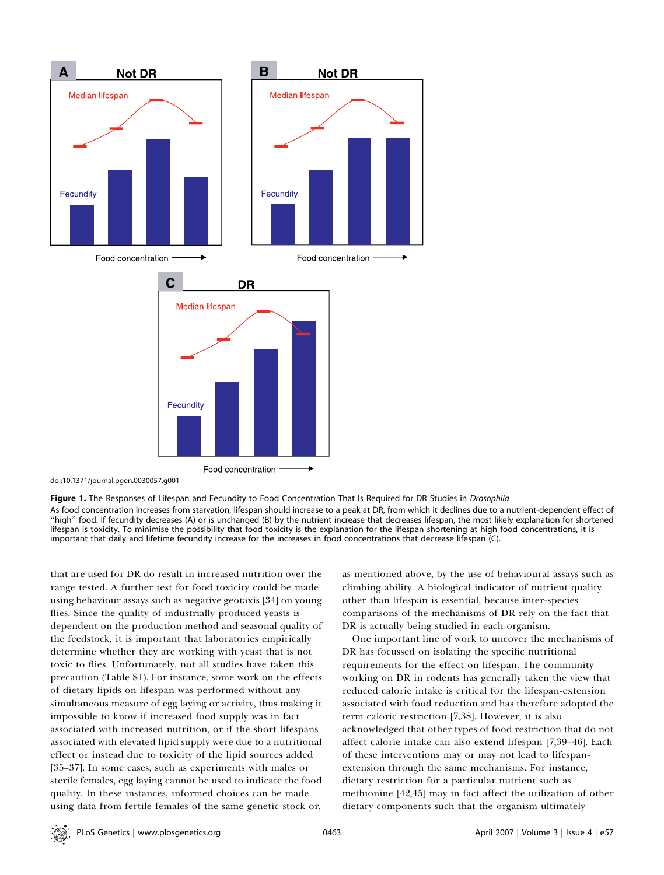

doi:10.1371/journal.pgen.0030057.g001

Figure 1. The Responses of Lifespan and Fecundity to Food Concentration That Is Required for DR Studies in Drosophila As food concentration increases from starvation, lifespan should increase to a peak at DR, from which it declines due to a nutrient-dependent effect of ''high'' food. If fecundity decreases (A) or is unchanged (B) by the nutrient increase that decreases lifespan, the most likely explanation for shortened lifespan is toxicity. To minimise the possibility that food toxicity is the explanation for the lifespan shortening at high food concentrations, it is important that daily and lifetime fecundity increase for the increases in food concentrations that decrease lifespan (C).

that are used for DR do result in increased nutrition over the range tested. A further test for food toxicity could be made using behaviour assays such as negative geotaxis [34] on young flies. Since the quality of industrially produced yeasts is dependent on the production method and seasonal quality of the feedstock, it is important that laboratories empirically determine whether they are working with yeast that is not toxic to flies. Unfortunately, not all studies have taken this precaution (Table S1). For instance, some work on the effects of dietary lipids on lifespan was performed without any simultaneous measure of egg laying or activity, thus making it impossible to know if increased food supply was in fact associated with increased nutrition, or if the short lifespans associated with elevated lipid supply were due to a nutritional effect or instead due to toxicity of the lipid sources added [35–37]. In some cases, such as experiments with males or sterile females, egg laying cannot be used to indicate the food quality. In these instances, informed choices can be made using data from fertile females of the same genetic stock or,

as mentioned above, by the use of behavioural assays such as climbing ability. A biological indicator of nutrient quality other than lifespan is essential, because inter-species comparisons of the mechanisms of DR rely on the fact that DR is actually being studied in each organism.

One important line of work to uncover the mechanisms of DR has focussed on isolating the specific nutritional requirements for the effect on lifespan. The community working on DR in rodents has generally taken the view that reduced calorie intake is critical for the lifespan-extension associated with food reduction and has therefore adopted the term caloric restriction [7,38]. However, it is also acknowledged that other types of food restriction that do not affect calorie intake can also extend lifespan [7,39–46]. Each of these interventions may or may not lead to lifespanextension through the same mechanisms. For instance, dietary restriction for a particular nutrient such as methionine [42,45] may in fact affect the utilization of other dietary components such that the organism ultimately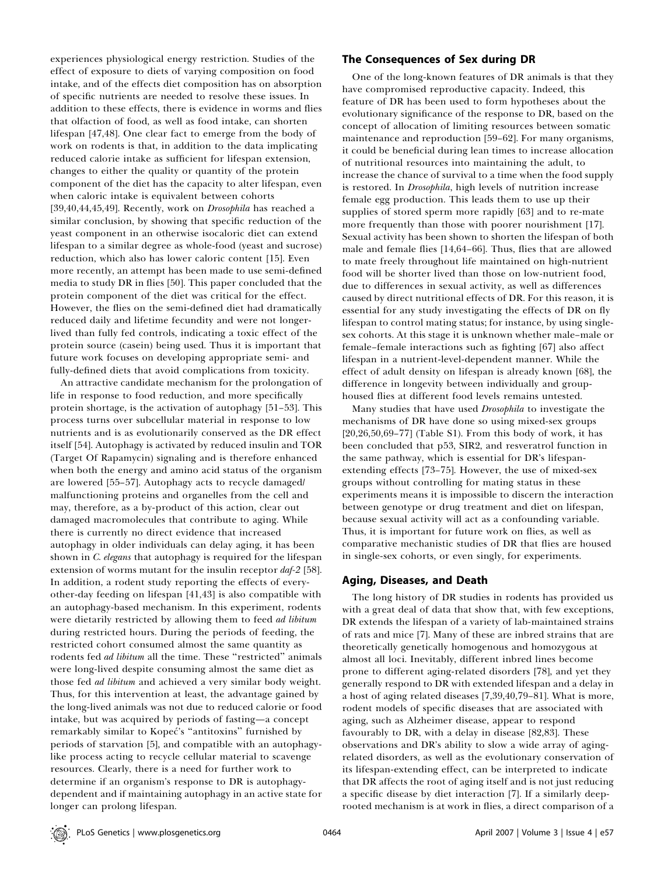experiences physiological energy restriction. Studies of the effect of exposure to diets of varying composition on food intake, and of the effects diet composition has on absorption of specific nutrients are needed to resolve these issues. In addition to these effects, there is evidence in worms and flies that olfaction of food, as well as food intake, can shorten lifespan [47,48]. One clear fact to emerge from the body of work on rodents is that, in addition to the data implicating reduced calorie intake as sufficient for lifespan extension, changes to either the quality or quantity of the protein component of the diet has the capacity to alter lifespan, even when caloric intake is equivalent between cohorts [39,40,44,45,49]. Recently, work on *Drosophila* has reached a similar conclusion, by showing that specific reduction of the yeast component in an otherwise isocaloric diet can extend lifespan to a similar degree as whole-food (yeast and sucrose) reduction, which also has lower caloric content [15]. Even more recently, an attempt has been made to use semi-defined media to study DR in flies [50]. This paper concluded that the protein component of the diet was critical for the effect. However, the flies on the semi-defined diet had dramatically reduced daily and lifetime fecundity and were not longerlived than fully fed controls, indicating a toxic effect of the protein source (casein) being used. Thus it is important that future work focuses on developing appropriate semi- and fully-defined diets that avoid complications from toxicity.

An attractive candidate mechanism for the prolongation of life in response to food reduction, and more specifically protein shortage, is the activation of autophagy [51–53]. This process turns over subcellular material in response to low nutrients and is as evolutionarily conserved as the DR effect itself [54]. Autophagy is activated by reduced insulin and TOR (Target Of Rapamycin) signaling and is therefore enhanced when both the energy and amino acid status of the organism are lowered [55–57]. Autophagy acts to recycle damaged/ malfunctioning proteins and organelles from the cell and may, therefore, as a by-product of this action, clear out damaged macromolecules that contribute to aging. While there is currently no direct evidence that increased autophagy in older individuals can delay aging, it has been shown in C. elegans that autophagy is required for the lifespan extension of worms mutant for the insulin receptor daf-2 [58]. In addition, a rodent study reporting the effects of everyother-day feeding on lifespan [41,43] is also compatible with an autophagy-based mechanism. In this experiment, rodents were dietarily restricted by allowing them to feed *ad libitum* during restricted hours. During the periods of feeding, the restricted cohort consumed almost the same quantity as rodents fed *ad libitum* all the time. These "restricted" animals were long-lived despite consuming almost the same diet as those fed *ad libitum* and achieved a very similar body weight. Thus, for this intervention at least, the advantage gained by the long-lived animals was not due to reduced calorie or food intake, but was acquired by periods of fasting—a concept remarkably similar to Kopeć's "antitoxins" furnished by periods of starvation [5], and compatible with an autophagylike process acting to recycle cellular material to scavenge resources. Clearly, there is a need for further work to determine if an organism's response to DR is autophagydependent and if maintaining autophagy in an active state for longer can prolong lifespan.

#### The Consequences of Sex during DR

One of the long-known features of DR animals is that they have compromised reproductive capacity. Indeed, this feature of DR has been used to form hypotheses about the evolutionary significance of the response to DR, based on the concept of allocation of limiting resources between somatic maintenance and reproduction [59–62]. For many organisms, it could be beneficial during lean times to increase allocation of nutritional resources into maintaining the adult, to increase the chance of survival to a time when the food supply is restored. In Drosophila, high levels of nutrition increase female egg production. This leads them to use up their supplies of stored sperm more rapidly [63] and to re-mate more frequently than those with poorer nourishment [17]. Sexual activity has been shown to shorten the lifespan of both male and female flies [14,64–66]. Thus, flies that are allowed to mate freely throughout life maintained on high-nutrient food will be shorter lived than those on low-nutrient food, due to differences in sexual activity, as well as differences caused by direct nutritional effects of DR. For this reason, it is essential for any study investigating the effects of DR on fly lifespan to control mating status; for instance, by using singlesex cohorts. At this stage it is unknown whether male–male or female–female interactions such as fighting [67] also affect lifespan in a nutrient-level-dependent manner. While the effect of adult density on lifespan is already known [68], the difference in longevity between individually and grouphoused flies at different food levels remains untested.

Many studies that have used Drosophila to investigate the mechanisms of DR have done so using mixed-sex groups  $[20,26,50,69-77]$  (Table S1). From this body of work, it has been concluded that p53, SIR2, and resveratrol function in the same pathway, which is essential for DR's lifespanextending effects [73–75]. However, the use of mixed-sex groups without controlling for mating status in these experiments means it is impossible to discern the interaction between genotype or drug treatment and diet on lifespan, because sexual activity will act as a confounding variable. Thus, it is important for future work on flies, as well as comparative mechanistic studies of DR that flies are housed in single-sex cohorts, or even singly, for experiments.

#### Aging, Diseases, and Death

The long history of DR studies in rodents has provided us with a great deal of data that show that, with few exceptions, DR extends the lifespan of a variety of lab-maintained strains of rats and mice [7]. Many of these are inbred strains that are theoretically genetically homogenous and homozygous at almost all loci. Inevitably, different inbred lines become prone to different aging-related disorders [78], and yet they generally respond to DR with extended lifespan and a delay in a host of aging related diseases [7,39,40,79–81]. What is more, rodent models of specific diseases that are associated with aging, such as Alzheimer disease, appear to respond favourably to DR, with a delay in disease [82,83]. These observations and DR's ability to slow a wide array of agingrelated disorders, as well as the evolutionary conservation of its lifespan-extending effect, can be interpreted to indicate that DR affects the root of aging itself and is not just reducing a specific disease by diet interaction [7]. If a similarly deeprooted mechanism is at work in flies, a direct comparison of a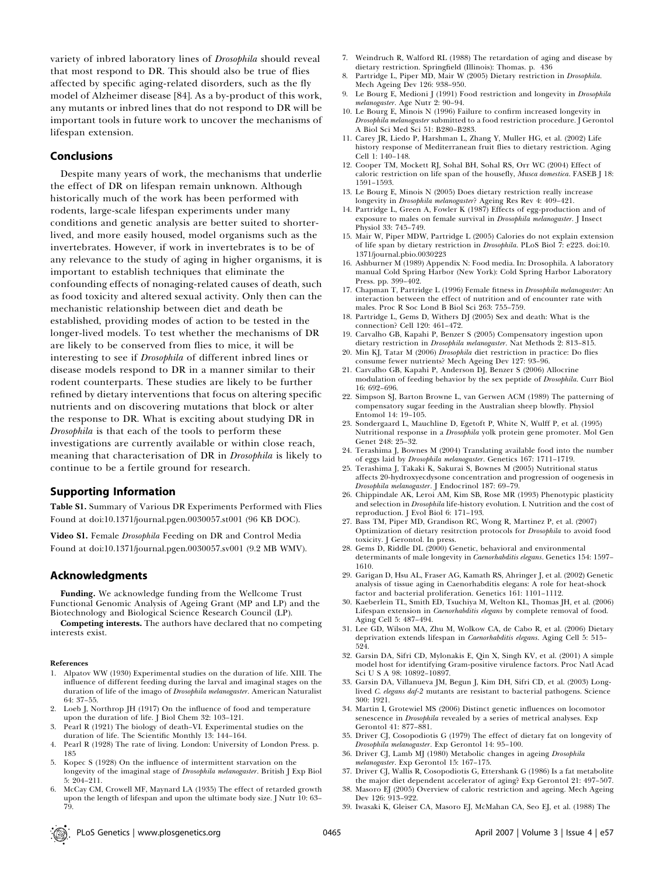variety of inbred laboratory lines of Drosophila should reveal that most respond to DR. This should also be true of flies affected by specific aging-related disorders, such as the fly model of Alzheimer disease [84]. As a by-product of this work, any mutants or inbred lines that do not respond to DR will be important tools in future work to uncover the mechanisms of lifespan extension.

#### Conclusions

Despite many years of work, the mechanisms that underlie the effect of DR on lifespan remain unknown. Although historically much of the work has been performed with rodents, large-scale lifespan experiments under many conditions and genetic analysis are better suited to shorterlived, and more easily housed, model organisms such as the invertebrates. However, if work in invertebrates is to be of any relevance to the study of aging in higher organisms, it is important to establish techniques that eliminate the confounding effects of nonaging-related causes of death, such as food toxicity and altered sexual activity. Only then can the mechanistic relationship between diet and death be established, providing modes of action to be tested in the longer-lived models. To test whether the mechanisms of DR are likely to be conserved from flies to mice, it will be interesting to see if *Drosophila* of different inbred lines or disease models respond to DR in a manner similar to their rodent counterparts. These studies are likely to be further refined by dietary interventions that focus on altering specific nutrients and on discovering mutations that block or alter the response to DR. What is exciting about studying DR in Drosophila is that each of the tools to perform these investigations are currently available or within close reach, meaning that characterisation of DR in *Drosophila* is likely to continue to be a fertile ground for research.

#### Supporting Information

Table S1. Summary of Various DR Experiments Performed with Flies Found at doi:10.1371/journal.pgen.0030057.st001 (96 KB DOC).

Video S1. Female Drosophila Feeding on DR and Control Media Found at doi:10.1371/journal.pgen.0030057.sv001 (9.2 MB WMV).

#### Acknowledgments

Funding. We acknowledge funding from the Wellcome Trust Functional Genomic Analysis of Ageing Grant (MP and LP) and the Biotechnology and Biological Science Research Council (LP).

Competing interests. The authors have declared that no competing interests exist.

#### References

- 1. Alpatov WW (1930) Experimental studies on the duration of life. XIII. The influence of different feeding during the larval and imaginal stages on the duration of life of the imago of Drosophila melanogaster. American Naturalist 64: 37–55.
- 2. Loeb J, Northrop JH (1917) On the influence of food and temperature upon the duration of life. J Biol Chem 32: 103–121.
- 3. Pearl R (1921) The biology of death–VI. Experimental studies on the duration of life. The Scientific Monthly 13: 144–164.
- 4. Pearl R (1928) The rate of living. London: University of London Press. p. 185
- 5. Kopec S (1928) On the influence of intermittent starvation on the longevity of the imaginal stage of Drosophila melanogaster. British J Exp Biol 5: 204–211.
- 6. McCay CM, Crowell MF, Maynard LA (1935) The effect of retarded growth upon the length of lifespan and upon the ultimate body size. J Nutr 10: 63– 79.
- 7. Weindruch R, Walford RL (1988) The retardation of aging and disease by dietary restriction. Springfield (Illinois): Thomas. p. 436
- Partridge L, Piper MD, Mair W (2005) Dietary restriction in Drosophila. Mech Ageing Dev 126: 938–950.
- 9. Le Bourg E, Medioni J (1991) Food restriction and longevity in Drosophila melanogaster. Age Nutr 2: 90–94.
- 10. Le Bourg E, Minois N (1996) Failure to confirm increased longevity in Drosophila melanogaster submitted to a food restriction procedure. J Gerontol A Biol Sci Med Sci 51: B280–B283.
- 11. Carey JR, Liedo P, Harshman L, Zhang Y, Muller HG, et al. (2002) Life history response of Mediterranean fruit flies to dietary restriction. Aging Cell 1: 140–148.
- 12. Cooper TM, Mockett RJ, Sohal BH, Sohal RS, Orr WC (2004) Effect of caloric restriction on life span of the housefly, Musca domestica. FASEB J 18: 1591–1593.
- 13. Le Bourg E, Minois N (2005) Does dietary restriction really increase longevity in Drosophila melanogaster? Ageing Res Rev 4: 409–421.
- 14. Partridge L, Green A, Fowler K (1987) Effects of egg-production and of exposure to males on female survival in Drosophila melanogaster. J Insect Physiol 33: 745–749.
- 15. Mair W, Piper MDW, Partridge L (2005) Calories do not explain extension of life span by dietary restriction in Drosophila. PLoS Biol 7: e223. doi:10. 1371/journal.pbio.0030223
- 16. Ashburner M (1989) Appendix N: Food media. In: Drosophila. A laboratory manual Cold Spring Harbor (New York): Cold Spring Harbor Laboratory Press. pp. 399–402.
- 17. Chapman T, Partridge L (1996) Female fitness in Drosophila melanogaster: An interaction between the effect of nutrition and of encounter rate with males. Proc R Soc Lond B Biol Sci 263: 755–759.
- 18. Partridge L, Gems D, Withers DJ (2005) Sex and death: What is the connection? Cell 120: 461–472.
- 19. Carvalho GB, Kapahi P, Benzer S (2005) Compensatory ingestion upon dietary restriction in Drosophila melanogaster. Nat Methods 2: 813–815.
- 20. Min KJ, Tatar M (2006) Drosophila diet restriction in practice: Do flies consume fewer nutrients? Mech Ageing Dev 127: 93–96.
- 21. Carvalho GB, Kapahi P, Anderson DJ, Benzer S (2006) Allocrine modulation of feeding behavior by the sex peptide of Drosophila. Curr Biol 16: 692–696.
- 22. Simpson SJ, Barton Browne L, van Gerwen ACM (1989) The patterning of compensatory sugar feeding in the Australian sheep blowfly. Physiol Entomol 14: 19–105.
- 23. Sondergaard L, Mauchline D, Egetoft P, White N, Wulff P, et al. (1995) Nutritional response in a Drosophila yolk protein gene promoter. Mol Gen Genet 248: 25–32.
- 24. Terashima J, Bownes M (2004) Translating available food into the number of eggs laid by Drosophila melanogaster. Genetics 167: 1711–1719.
- 25. Terashima J, Takaki K, Sakurai S, Bownes M (2005) Nutritional status affects 20-hydroxyecdysone concentration and progression of oogenesis in Drosophila melanogaster. J Endocrinol 187: 69–79.
- 26. Chippindale AK, Leroi AM, Kim SB, Rose MR (1993) Phenotypic plasticity and selection in Drosophila life-history evolution. I. Nutrition and the cost of reproduction. J Evol Biol 6: 171–193.
- 27. Bass TM, Piper MD, Grandison RC, Wong R, Martinez P, et al. (2007) Optimization of dietary resitrction protocols for Drosophila to avoid food toxicity. J Gerontol. In press.
- 28. Gems D, Riddle DL (2000) Genetic, behavioral and environmental determinants of male longevity in Caenorhabditis elegans. Genetics 154: 1597– 1610.
- 29. Garigan D, Hsu AL, Fraser AG, Kamath RS, Ahringer J, et al. (2002) Genetic analysis of tissue aging in Caenorhabditis elegans: A role for heat-shock factor and bacterial proliferation. Genetics 161: 1101–1112.
- 30. Kaeberlein TL, Smith ED, Tsuchiya M, Welton KL, Thomas JH, et al. (2006) Lifespan extension in Caenorhabditis elegans by complete removal of food. Aging Cell 5: 487–494.
- 31. Lee GD, Wilson MA, Zhu M, Wolkow CA, de Cabo R, et al. (2006) Dietary deprivation extends lifespan in Caenorhabditis elegans. Aging Cell 5: 515–
- 524. 32. Garsin DA, Sifri CD, Mylonakis E, Qin X, Singh KV, et al. (2001) A simple model host for identifying Gram-positive virulence factors. Proc Natl Acad Sci U S A 98: 10892–10897.
- 33. Garsin DA, Villanueva JM, Begun J, Kim DH, Sifri CD, et al. (2003) Longlived C. elegans daf-2 mutants are resistant to bacterial pathogens. Science 300: 1921.
- 34. Martin I, Grotewiel MS (2006) Distinct genetic influences on locomotor senescence in Drosophila revealed by a series of metrical analyses. Exp Gerontol 41: 877–881.
- 35. Driver CJ, Cosopodiotis G (1979) The effect of dietary fat on longevity of Drosophila melanogaster. Exp Gerontol 14: 95–100.
- 36. Driver CJ, Lamb MJ (1980) Metabolic changes in ageing Drosophila melanogaster. Exp Gerontol 15: 167–175.
- 37. Driver CJ, Wallis R, Cosopodiotis G, Ettershank G (1986) Is a fat metabolite the major diet dependent accelerator of aging? Exp Gerontol 21: 497–507.
- 38. Masoro EJ (2005) Overview of caloric restriction and ageing. Mech Ageing Dev 126: 913-922.
- 39. Iwasaki K, Gleiser CA, Masoro EJ, McMahan CA, Seo EJ, et al. (1988) The